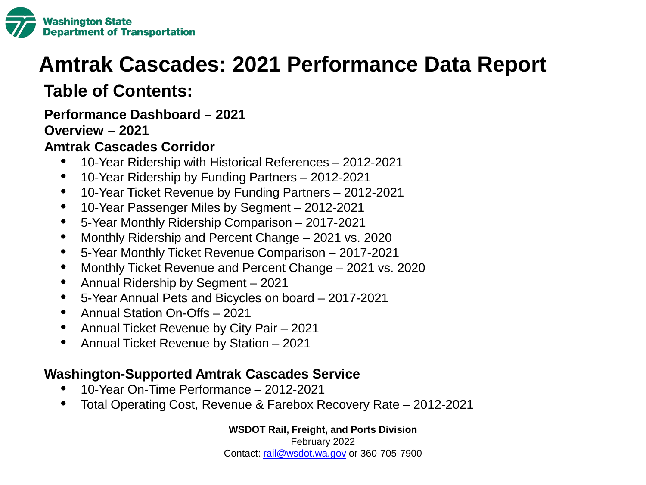

# **Amtrak Cascades: 2021 Performance Data Report**

### **Table of Contents:**

**Performance Dashboard – 2021** 

### **Overview – 2021**

### **Amtrak Cascades Corridor**

- 10-Year Ridership with Historical References 2012-2021
- 10-Year Ridership by Funding Partners 2012-2021
- 10-Year Ticket Revenue by Funding Partners 2012-2021
- 10-Year Passenger Miles by Segment 2012-2021
- 5-Year Monthly Ridership Comparison 2017-2021
- Monthly Ridership and Percent Change 2021 vs. 2020
- 5-Year Monthly Ticket Revenue Comparison 2017-2021
- Monthly Ticket Revenue and Percent Change 2021 vs. 2020
- Annual Ridership by Segment 2021
- 5-Year Annual Pets and Bicycles on board 2017-2021
- Annual Station On-Offs 2021
- Annual Ticket Revenue by City Pair 2021
- Annual Ticket Revenue by Station 2021

### **Washington-Supported Amtrak Cascades Service**

- 10-Year On-Time Performance 2012-2021
- Total Operating Cost, Revenue & Farebox Recovery Rate 2012-2021

**WSDOT Rail, Freight, and Ports Division**

February 2022 Contact: [rail@wsdot.wa.gov](mailto:rail@wsdot.wa.gov) or 360-705-7900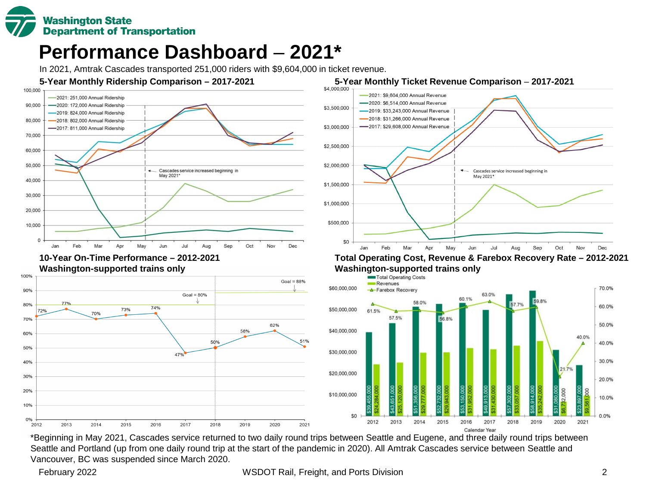

### **Performance Dashboard** – **2021\***

In 2021, Amtrak Cascades transported 251,000 riders with \$9,604,000 in ticket revenue.









### **Total Operating Cost, Revenue & Farebox Recovery Rate – 2012-2021 Washington-supported trains only**<br> **Example Secreting Costs**



\*Beginning in May 2021, Cascades service returned to two daily round trips between Seattle and Eugene, and three daily round trips between Seattle and Portland (up from one daily round trip at the start of the pandemic in 2020). All Amtrak Cascades service between Seattle and Vancouver, BC was suspended since March 2020.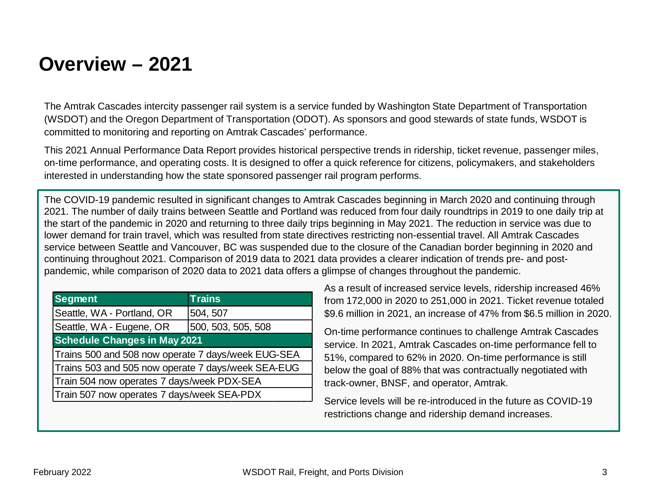### **Overview – 2021**

The Amtrak Cascades intercity passenger rail system is a service funded by Washington State Department of Transportation (WSDOT) and the Oregon Department of Transportation (ODOT). As sponsors and good stewards of state funds, WSDOT is committed to monitoring and reporting on Amtrak Cascades' performance.

This 2021 Annual Performance Data Report provides historical perspective trends in ridership, ticket revenue, passenger miles, on-time performance, and operating costs. It is designed to offer a quick reference for citizens, policymakers, and stakeholders interested in understanding how the state sponsored passenger rail program performs.

The COVID-19 pandemic resulted in significant changes to Amtrak Cascades beginning in March 2020 and continuing through 2021. The number of daily trains between Seattle and Portland was reduced from four daily roundtrips in 2019 to one daily trip at the start of the pandemic in 2020 and returning to three daily trips beginning in May 2021. The reduction in service was due to lower demand for train travel, which was resulted from state directives restricting non-essential travel. All Amtrak Cascades service between Seattle and Vancouver, BC was suspended due to the closure of the Canadian border beginning in 2020 and continuing throughout 2021. Comparison of 2019 data to 2021 data provides a clearer indication of trends pre- and postpandemic, while comparison of 2020 data to 2021 data offers a glimpse of changes throughout the pandemic.

| <b>Segment</b>                                     | <b>Trains</b>      |  |
|----------------------------------------------------|--------------------|--|
| Seattle, WA - Portland, OR                         | 504, 507           |  |
| Seattle, WA - Eugene, OR                           | 500, 503, 505, 508 |  |
| <b>Schedule Changes in May 2021</b>                |                    |  |
| Trains 500 and 508 now operate 7 days/week EUG-SEA |                    |  |
| Trains 503 and 505 now operate 7 days/week SEA-EUG |                    |  |
| Train 504 now operates 7 days/week PDX-SEA         |                    |  |
| Train 507 now operates 7 days/week SEA-PDX         |                    |  |

As a result of increased service levels, ridership increased 46% from 172,000 in 2020 to 251,000 in 2021. Ticket revenue totaled \$9.6 million in 2021, an increase of 47% from \$6.5 million in 2020.

On-time performance continues to challenge Amtrak Cascades service. In 2021, Amtrak Cascades on-time performance fell to 51%, compared to 62% in 2020. On-time performance is still below the goal of 88% that was contractually negotiated with track-owner, BNSF, and operator, Amtrak.

Service levels will be re-introduced in the future as COVID-19 restrictions change and ridership demand increases.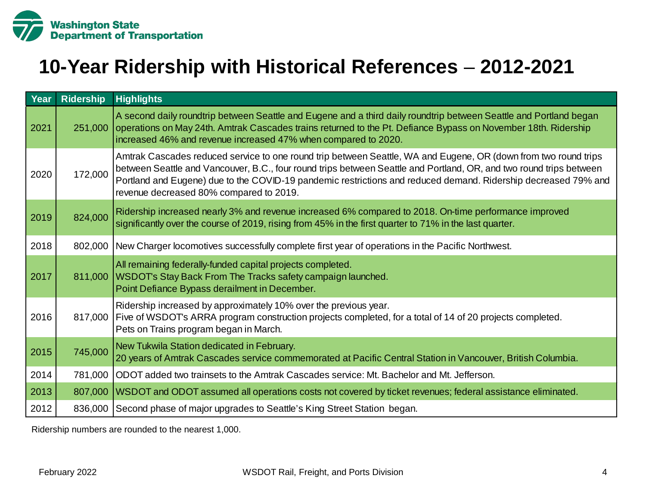

### **10-Year Ridership with Historical References** – **2012-2021**

| Year | <b>Ridership</b> | <b>Highlights</b>                                                                                                                                                                                                                                                                                                                                                                                   |
|------|------------------|-----------------------------------------------------------------------------------------------------------------------------------------------------------------------------------------------------------------------------------------------------------------------------------------------------------------------------------------------------------------------------------------------------|
| 2021 | 251,000          | A second daily roundtrip between Seattle and Eugene and a third daily roundtrip between Seattle and Portland began<br>operations on May 24th. Amtrak Cascades trains returned to the Pt. Defiance Bypass on November 18th. Ridership<br>increased 46% and revenue increased 47% when compared to 2020.                                                                                              |
| 2020 | 172,000          | Amtrak Cascades reduced service to one round trip between Seattle, WA and Eugene, OR (down from two round trips<br>between Seattle and Vancouver, B.C., four round trips between Seattle and Portland, OR, and two round trips between<br>Portland and Eugene) due to the COVID-19 pandemic restrictions and reduced demand. Ridership decreased 79% and<br>revenue decreased 80% compared to 2019. |
| 2019 | 824,000          | Ridership increased nearly 3% and revenue increased 6% compared to 2018. On-time performance improved<br>significantly over the course of 2019, rising from 45% in the first quarter to 71% in the last quarter.                                                                                                                                                                                    |
| 2018 | 802,000          | New Charger locomotives successfully complete first year of operations in the Pacific Northwest.                                                                                                                                                                                                                                                                                                    |
| 2017 |                  | All remaining federally-funded capital projects completed.<br>811,000   WSDOT's Stay Back From The Tracks safety campaign launched.<br>Point Defiance Bypass derailment in December.                                                                                                                                                                                                                |
| 2016 |                  | Ridership increased by approximately 10% over the previous year.<br>817,000 Five of WSDOT's ARRA program construction projects completed, for a total of 14 of 20 projects completed.<br>Pets on Trains program began in March.                                                                                                                                                                     |
| 2015 | 745,000          | New Tukwila Station dedicated in February.<br>20 years of Amtrak Cascades service commemorated at Pacific Central Station in Vancouver, British Columbia.                                                                                                                                                                                                                                           |
| 2014 | 781,000          | ODOT added two trainsets to the Amtrak Cascades service: Mt. Bachelor and Mt. Jefferson.                                                                                                                                                                                                                                                                                                            |
| 2013 |                  | 807,000 WSDOT and ODOT assumed all operations costs not covered by ticket revenues; federal assistance eliminated.                                                                                                                                                                                                                                                                                  |
| 2012 |                  | 836,000 Second phase of major upgrades to Seattle's King Street Station began.                                                                                                                                                                                                                                                                                                                      |

Ridership numbers are rounded to the nearest 1,000.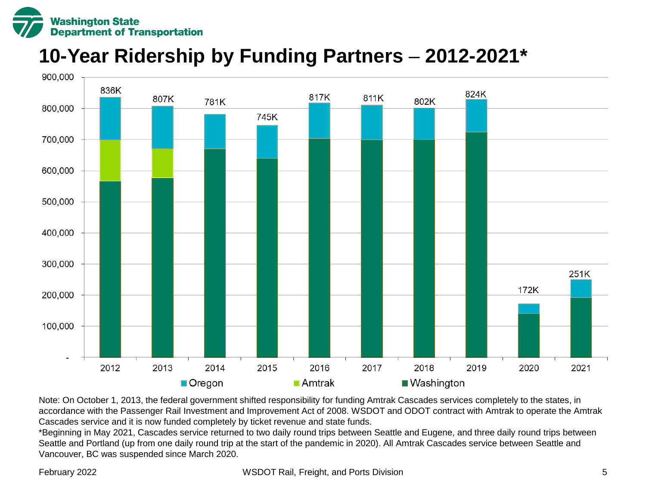

## **10-Year Ridership by Funding Partners** – **2012-2021\***



Note: On October 1, 2013, the federal government shifted responsibility for funding Amtrak Cascades services completely to the states, in accordance with the Passenger Rail Investment and Improvement Act of 2008. WSDOT and ODOT contract with Amtrak to operate the Amtrak Cascades service and it is now funded completely by ticket revenue and state funds.

\*Beginning in May 2021, Cascades service returned to two daily round trips between Seattle and Eugene, and three daily round trips between Seattle and Portland (up from one daily round trip at the start of the pandemic in 2020). All Amtrak Cascades service between Seattle and Vancouver, BC was suspended since March 2020.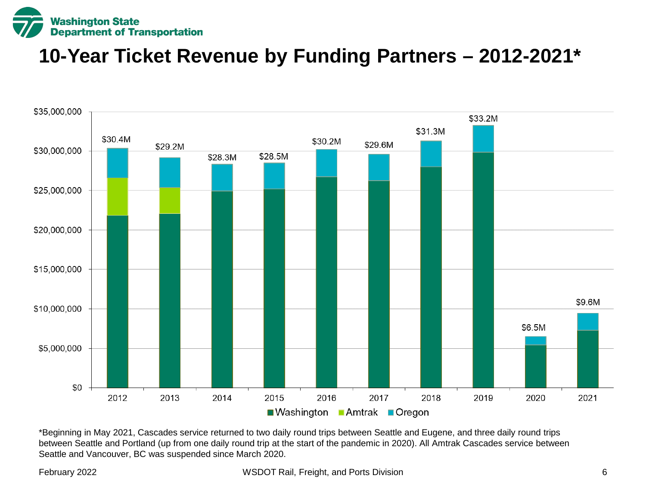

### **10-Year Ticket Revenue by Funding Partners – 2012-2021\***



\*Beginning in May 2021, Cascades service returned to two daily round trips between Seattle and Eugene, and three daily round trips between Seattle and Portland (up from one daily round trip at the start of the pandemic in 2020). All Amtrak Cascades service between Seattle and Vancouver, BC was suspended since March 2020.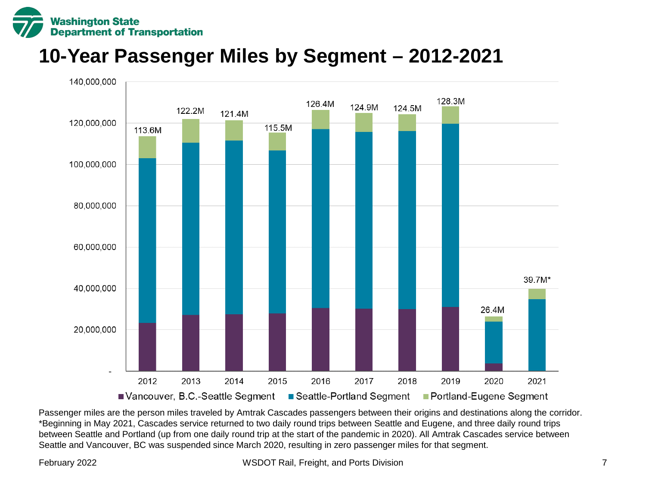

### **10-Year Passenger Miles by Segment – 2012-2021**



Passenger miles are the person miles traveled by Amtrak Cascades passengers between their origins and destinations along the corridor. \*Beginning in May 2021, Cascades service returned to two daily round trips between Seattle and Eugene, and three daily round trips between Seattle and Portland (up from one daily round trip at the start of the pandemic in 2020). All Amtrak Cascades service between Seattle and Vancouver, BC was suspended since March 2020, resulting in zero passenger miles for that segment.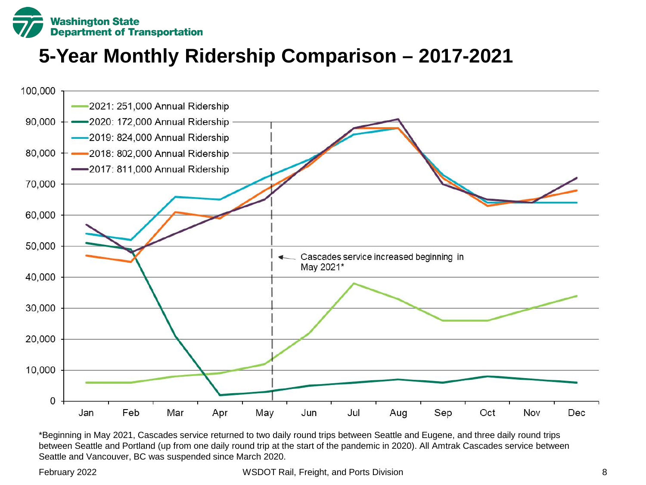

## **5-Year Monthly Ridership Comparison – 2017-2021**



\*Beginning in May 2021, Cascades service returned to two daily round trips between Seattle and Eugene, and three daily round trips between Seattle and Portland (up from one daily round trip at the start of the pandemic in 2020). All Amtrak Cascades service between Seattle and Vancouver, BC was suspended since March 2020.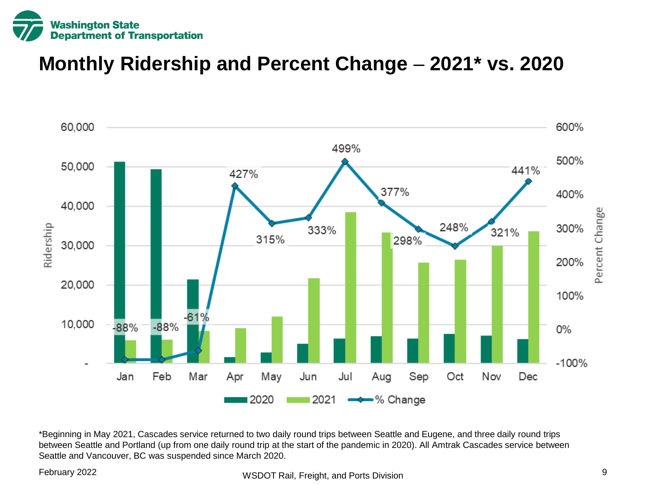

### **Monthly Ridership and Percent Change** – **2021\* vs. 2020**



\*Beginning in May 2021, Cascades service returned to two daily round trips between Seattle and Eugene, and three daily round trips between Seattle and Portland (up from one daily round trip at the start of the pandemic in 2020). All Amtrak Cascades service between Seattle and Vancouver, BC was suspended since March 2020.

### February 2022 **Example 2022** WSDOT Rail, Freight, and Ports Division 9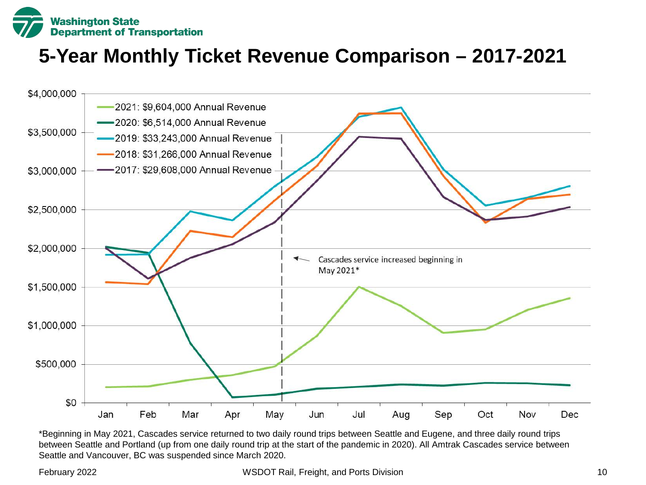

# **5-Year Monthly Ticket Revenue Comparison – 2017-2021**



\*Beginning in May 2021, Cascades service returned to two daily round trips between Seattle and Eugene, and three daily round trips between Seattle and Portland (up from one daily round trip at the start of the pandemic in 2020). All Amtrak Cascades service between Seattle and Vancouver, BC was suspended since March 2020.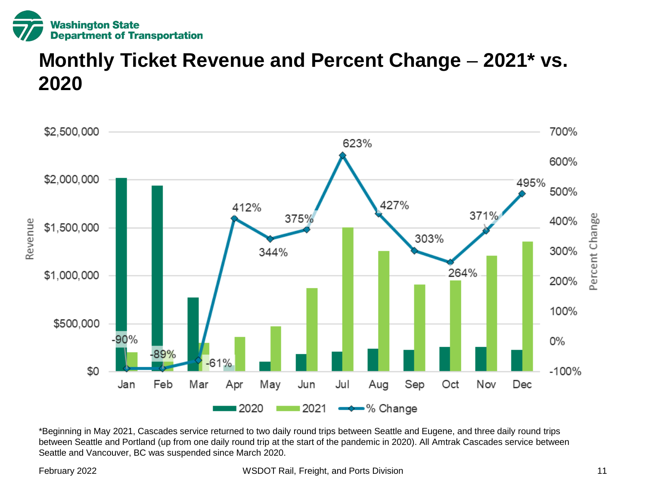

### **Monthly Ticket Revenue and Percent Change – 2021\* vs. 2020**



\*Beginning in May 2021, Cascades service returned to two daily round trips between Seattle and Eugene, and three daily round trips between Seattle and Portland (up from one daily round trip at the start of the pandemic in 2020). All Amtrak Cascades service between Seattle and Vancouver, BC was suspended since March 2020.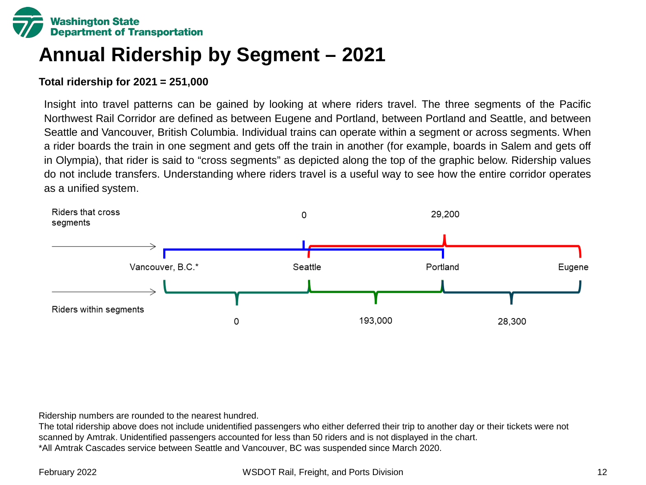

# **Annual Ridership by Segment – 2021**

### **Total ridership for 2021 = 251,000**

Insight into travel patterns can be gained by looking at where riders travel. The three segments of the Pacific Northwest Rail Corridor are defined as between Eugene and Portland, between Portland and Seattle, and between Seattle and Vancouver, British Columbia. Individual trains can operate within a segment or across segments. When a rider boards the train in one segment and gets off the train in another (for example, boards in Salem and gets off in Olympia), that rider is said to "cross segments" as depicted along the top of the graphic below. Ridership values do not include transfers. Understanding where riders travel is a useful way to see how the entire corridor operates as a unified system.



Ridership numbers are rounded to the nearest hundred.

The total ridership above does not include unidentified passengers who either deferred their trip to another day or their tickets were not scanned by Amtrak. Unidentified passengers accounted for less than 50 riders and is not displayed in the chart. \*All Amtrak Cascades service between Seattle and Vancouver, BC was suspended since March 2020.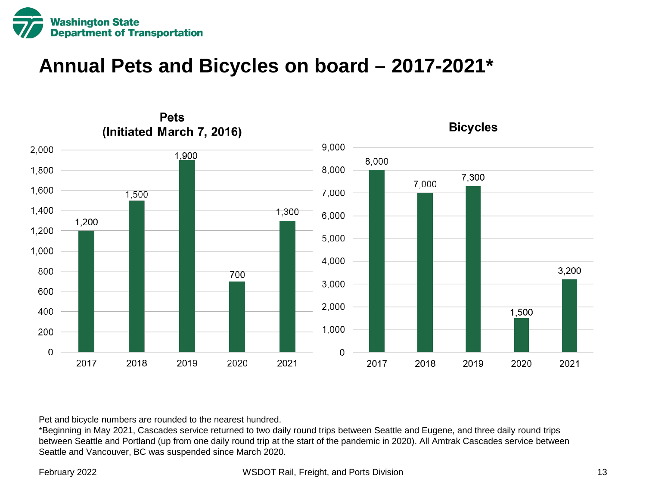

### **Annual Pets and Bicycles on board – 2017-2021\***



Pet and bicycle numbers are rounded to the nearest hundred.

\*Beginning in May 2021, Cascades service returned to two daily round trips between Seattle and Eugene, and three daily round trips between Seattle and Portland (up from one daily round trip at the start of the pandemic in 2020). All Amtrak Cascades service between Seattle and Vancouver, BC was suspended since March 2020.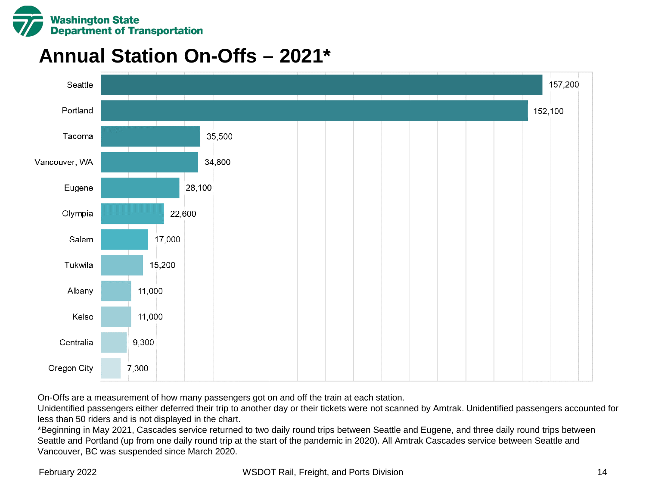

### **Annual Station On-Offs – 2021\***



On-Offs are a measurement of how many passengers got on and off the train at each station.

Unidentified passengers either deferred their trip to another day or their tickets were not scanned by Amtrak. Unidentified passengers accounted for less than 50 riders and is not displayed in the chart.

\*Beginning in May 2021, Cascades service returned to two daily round trips between Seattle and Eugene, and three daily round trips between Seattle and Portland (up from one daily round trip at the start of the pandemic in 2020). All Amtrak Cascades service between Seattle and Vancouver, BC was suspended since March 2020.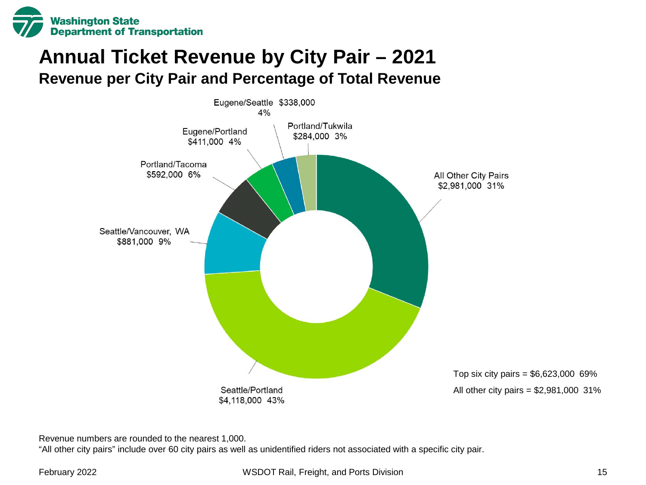

### **Annual Ticket Revenue by City Pair – 2021 Revenue per City Pair and Percentage of Total Revenue**



Revenue numbers are rounded to the nearest 1,000.

"All other city pairs" include over 60 city pairs as well as unidentified riders not associated with a specific city pair.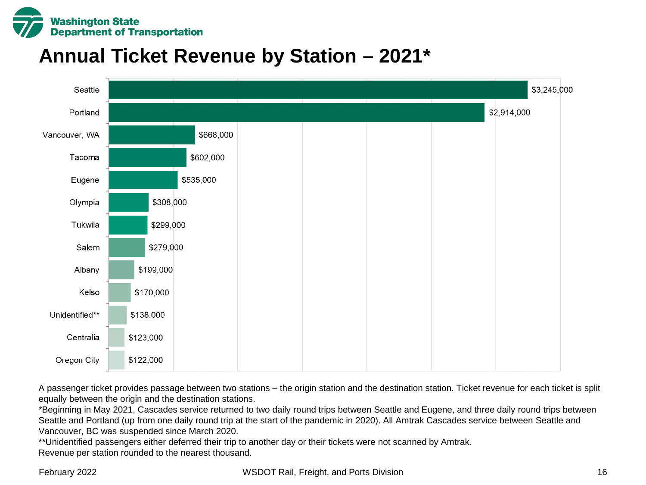

### **Annual Ticket Revenue by Station – 2021\***



A passenger ticket provides passage between two stations – the origin station and the destination station. Ticket revenue for each ticket is split equally between the origin and the destination stations.

\*Beginning in May 2021, Cascades service returned to two daily round trips between Seattle and Eugene, and three daily round trips between Seattle and Portland (up from one daily round trip at the start of the pandemic in 2020). All Amtrak Cascades service between Seattle and Vancouver, BC was suspended since March 2020.

\*\*Unidentified passengers either deferred their trip to another day or their tickets were not scanned by Amtrak. Revenue per station rounded to the nearest thousand.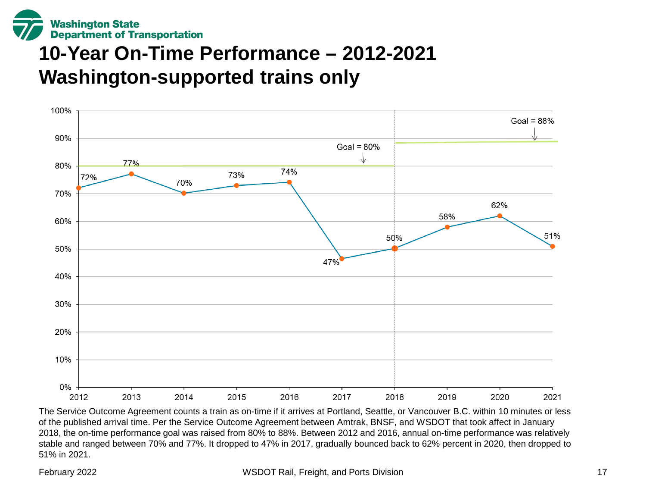

# **10-Year On-Time Performance – 2012-2021 Washington-supported trains only**



The Service Outcome Agreement counts a train as on-time if it arrives at Portland, Seattle, or Vancouver B.C. within 10 minutes or less of the published arrival time. Per the Service Outcome Agreement between Amtrak, BNSF, and WSDOT that took affect in January 2018, the on-time performance goal was raised from 80% to 88%. Between 2012 and 2016, annual on-time performance was relatively stable and ranged between 70% and 77%. It dropped to 47% in 2017, gradually bounced back to 62% percent in 2020, then dropped to 51% in 2021.